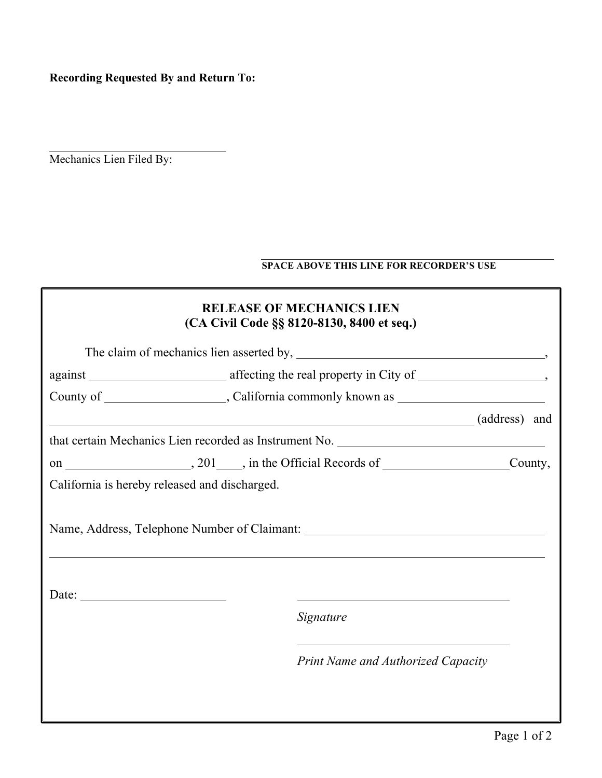**Recording Requested By and Return To:**

Mechanics Lien Filed By:

## **SPACE ABOVE THIS LINE FOR RECORDER'S USE**

|                                               | <b>RELEASE OF MECHANICS LIEN</b><br>(CA Civil Code §§ 8120-8130, 8400 et seq.) |
|-----------------------------------------------|--------------------------------------------------------------------------------|
|                                               |                                                                                |
|                                               |                                                                                |
|                                               |                                                                                |
|                                               | (address) and                                                                  |
|                                               |                                                                                |
|                                               |                                                                                |
| California is hereby released and discharged. |                                                                                |
|                                               |                                                                                |
| Date: $\qquad \qquad$                         | Signature                                                                      |
|                                               | <b>Print Name and Authorized Capacity</b>                                      |
|                                               |                                                                                |